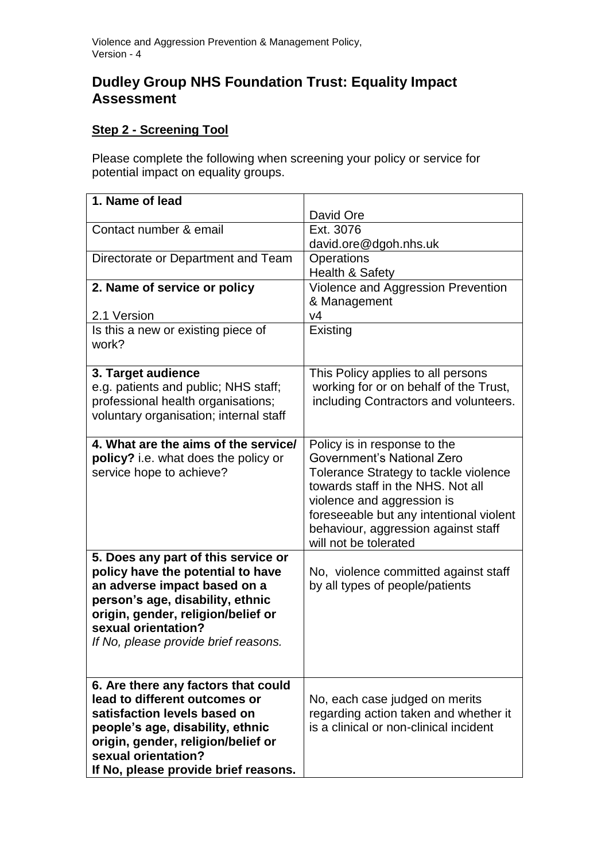## **Dudley Group NHS Foundation Trust: Equality Impact Assessment**

## **Step 2 - Screening Tool**

Please complete the following when screening your policy or service for potential impact on equality groups.

| 1. Name of lead                             |                                         |
|---------------------------------------------|-----------------------------------------|
|                                             | David Ore                               |
| Contact number & email                      | Ext. 3076                               |
|                                             | david.ore@dgoh.nhs.uk                   |
| Directorate or Department and Team          | Operations                              |
|                                             | Health & Safety                         |
| 2. Name of service or policy                | Violence and Aggression Prevention      |
|                                             | & Management                            |
| 2.1 Version                                 | V <sub>4</sub>                          |
| Is this a new or existing piece of<br>work? | Existing                                |
| 3. Target audience                          | This Policy applies to all persons      |
| e.g. patients and public; NHS staff;        | working for or on behalf of the Trust,  |
| professional health organisations;          | including Contractors and volunteers.   |
| voluntary organisation; internal staff      |                                         |
|                                             |                                         |
| 4. What are the aims of the service/        | Policy is in response to the            |
| policy? i.e. what does the policy or        | Government's National Zero              |
| service hope to achieve?                    | Tolerance Strategy to tackle violence   |
|                                             | towards staff in the NHS. Not all       |
|                                             | violence and aggression is              |
|                                             | foreseeable but any intentional violent |
|                                             | behaviour, aggression against staff     |
|                                             | will not be tolerated                   |
| 5. Does any part of this service or         |                                         |
| policy have the potential to have           | No, violence committed against staff    |
| an adverse impact based on a                | by all types of people/patients         |
| person's age, disability, ethnic            |                                         |
| origin, gender, religion/belief or          |                                         |
| sexual orientation?                         |                                         |
| If No, please provide brief reasons.        |                                         |
|                                             |                                         |
| 6. Are there any factors that could         |                                         |
| lead to different outcomes or               | No, each case judged on merits          |
| satisfaction levels based on                | regarding action taken and whether it   |
| people's age, disability, ethnic            | is a clinical or non-clinical incident  |
| origin, gender, religion/belief or          |                                         |
| sexual orientation?                         |                                         |
| If No, please provide brief reasons.        |                                         |